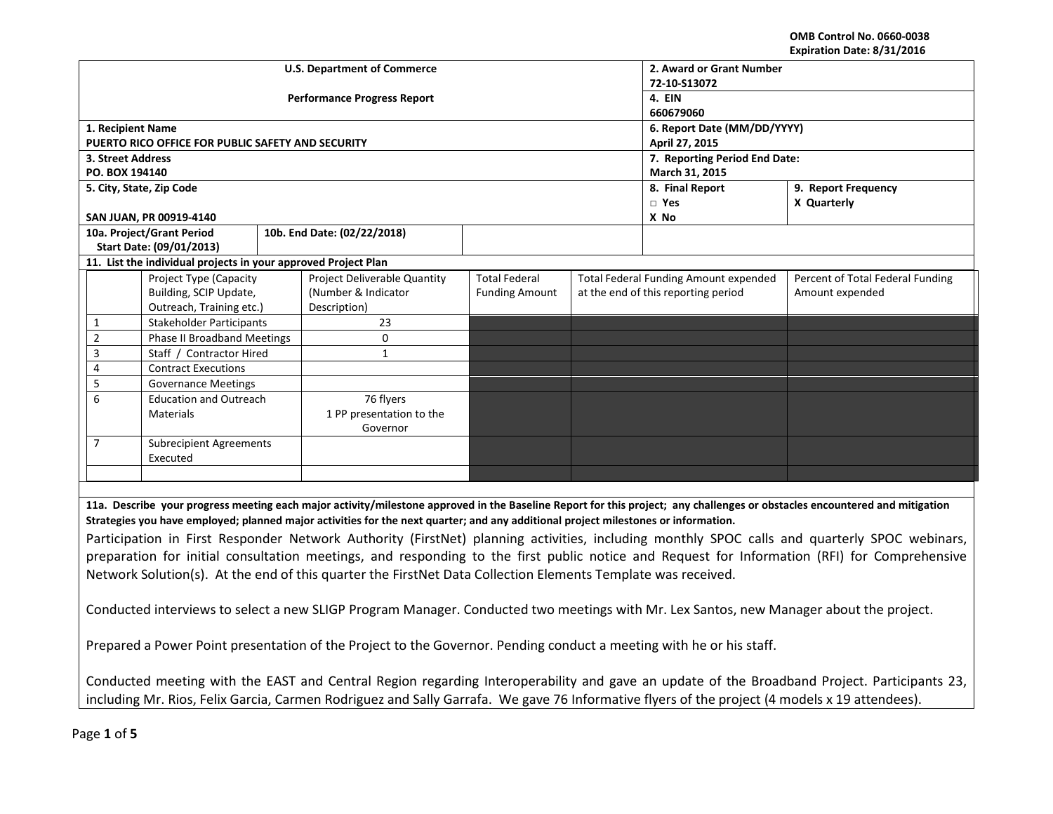**OMB Control No. 0660-0038 Expiration Date: 8/31/2016**

| 72-10-S13072                                                                                                                                                                                                                                                                       |  |  |  |  |  |  |  |
|------------------------------------------------------------------------------------------------------------------------------------------------------------------------------------------------------------------------------------------------------------------------------------|--|--|--|--|--|--|--|
| 4. EIN                                                                                                                                                                                                                                                                             |  |  |  |  |  |  |  |
| 660679060                                                                                                                                                                                                                                                                          |  |  |  |  |  |  |  |
| 6. Report Date (MM/DD/YYYY)                                                                                                                                                                                                                                                        |  |  |  |  |  |  |  |
| April 27, 2015                                                                                                                                                                                                                                                                     |  |  |  |  |  |  |  |
| 7. Reporting Period End Date:<br>March 31, 2015                                                                                                                                                                                                                                    |  |  |  |  |  |  |  |
|                                                                                                                                                                                                                                                                                    |  |  |  |  |  |  |  |
|                                                                                                                                                                                                                                                                                    |  |  |  |  |  |  |  |
|                                                                                                                                                                                                                                                                                    |  |  |  |  |  |  |  |
|                                                                                                                                                                                                                                                                                    |  |  |  |  |  |  |  |
|                                                                                                                                                                                                                                                                                    |  |  |  |  |  |  |  |
|                                                                                                                                                                                                                                                                                    |  |  |  |  |  |  |  |
|                                                                                                                                                                                                                                                                                    |  |  |  |  |  |  |  |
| Percent of Total Federal Funding                                                                                                                                                                                                                                                   |  |  |  |  |  |  |  |
|                                                                                                                                                                                                                                                                                    |  |  |  |  |  |  |  |
|                                                                                                                                                                                                                                                                                    |  |  |  |  |  |  |  |
|                                                                                                                                                                                                                                                                                    |  |  |  |  |  |  |  |
|                                                                                                                                                                                                                                                                                    |  |  |  |  |  |  |  |
|                                                                                                                                                                                                                                                                                    |  |  |  |  |  |  |  |
|                                                                                                                                                                                                                                                                                    |  |  |  |  |  |  |  |
|                                                                                                                                                                                                                                                                                    |  |  |  |  |  |  |  |
|                                                                                                                                                                                                                                                                                    |  |  |  |  |  |  |  |
|                                                                                                                                                                                                                                                                                    |  |  |  |  |  |  |  |
|                                                                                                                                                                                                                                                                                    |  |  |  |  |  |  |  |
|                                                                                                                                                                                                                                                                                    |  |  |  |  |  |  |  |
|                                                                                                                                                                                                                                                                                    |  |  |  |  |  |  |  |
|                                                                                                                                                                                                                                                                                    |  |  |  |  |  |  |  |
|                                                                                                                                                                                                                                                                                    |  |  |  |  |  |  |  |
| 11a. Describe your progress meeting each major activity/milestone approved in the Baseline Report for this project; any challenges or obstacles encountered and mitigation                                                                                                         |  |  |  |  |  |  |  |
|                                                                                                                                                                                                                                                                                    |  |  |  |  |  |  |  |
| Strategies you have employed; planned major activities for the next quarter; and any additional project milestones or information.<br>Participation in First Responder Network Authority (FirstNet) planning activities, including monthly SPOC calls and quarterly SPOC webinars, |  |  |  |  |  |  |  |
| preparation for initial consultation meetings, and responding to the first public notice and Request for Information (RFI) for Comprehensive                                                                                                                                       |  |  |  |  |  |  |  |
|                                                                                                                                                                                                                                                                                    |  |  |  |  |  |  |  |
|                                                                                                                                                                                                                                                                                    |  |  |  |  |  |  |  |
|                                                                                                                                                                                                                                                                                    |  |  |  |  |  |  |  |
|                                                                                                                                                                                                                                                                                    |  |  |  |  |  |  |  |
|                                                                                                                                                                                                                                                                                    |  |  |  |  |  |  |  |
|                                                                                                                                                                                                                                                                                    |  |  |  |  |  |  |  |
|                                                                                                                                                                                                                                                                                    |  |  |  |  |  |  |  |
|                                                                                                                                                                                                                                                                                    |  |  |  |  |  |  |  |
| Conducted meeting with the EAST and Central Region regarding Interoperability and gave an update of the Broadband Project. Participants 23,                                                                                                                                        |  |  |  |  |  |  |  |
| including Mr. Rios, Felix Garcia, Carmen Rodriguez and Sally Garrafa. We gave 76 Informative flyers of the project (4 models x 19 attendees).                                                                                                                                      |  |  |  |  |  |  |  |
| Conducted interviews to select a new SLIGP Program Manager. Conducted two meetings with Mr. Lex Santos, new Manager about the project.                                                                                                                                             |  |  |  |  |  |  |  |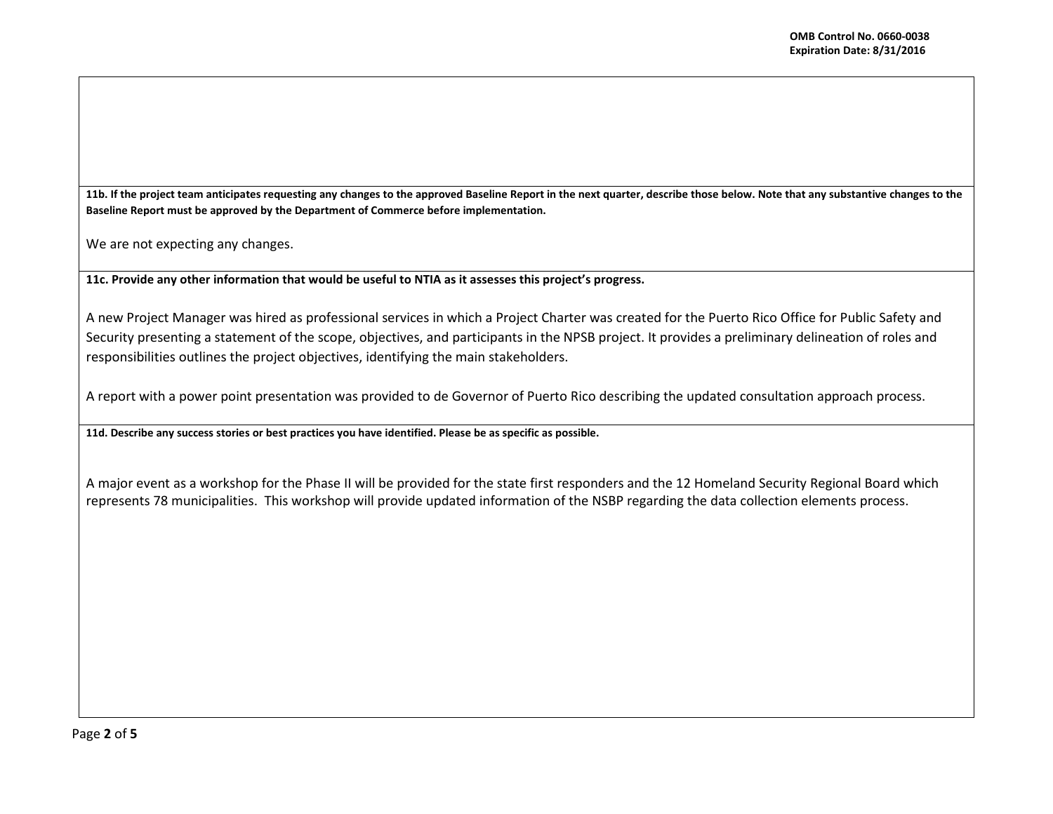**11b. If the project team anticipates requesting any changes to the approved Baseline Report in the next quarter, describe those below. Note that any substantive changes to the Baseline Report must be approved by the Department of Commerce before implementation.**

We are not expecting any changes.

**11c. Provide any other information that would be useful to NTIA as it assesses this project's progress.** 

A new Project Manager was hired as professional services in which a Project Charter was created for the Puerto Rico Office for Public Safety and Security presenting a statement of the scope, objectives, and participants in the NPSB project. It provides a preliminary delineation of roles and responsibilities outlines the project objectives, identifying the main stakeholders.

A report with a power point presentation was provided to de Governor of Puerto Rico describing the updated consultation approach process.

**11d. Describe any success stories or best practices you have identified. Please be as specific as possible.**

A major event as a workshop for the Phase II will be provided for the state first responders and the 12 Homeland Security Regional Board which represents 78 municipalities. This workshop will provide updated information of the NSBP regarding the data collection elements process.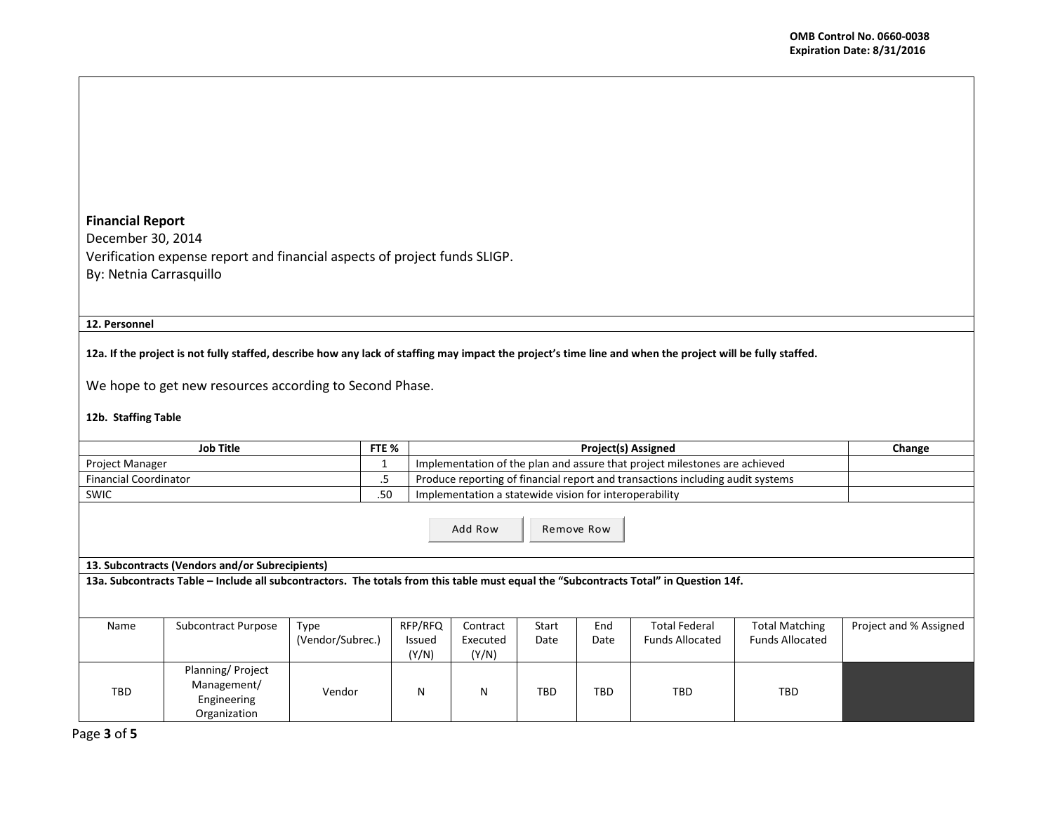# **Financial Report**

December 30, 2014 Verification expense report and financial aspects of project funds SLIGP. By: Netnia Carrasquillo

## **12. Personnel**

# **12a. If the project is not fully staffed, describe how any lack of staffing may impact the project's time line and when the project will be fully staffed.**

We hope to get new resources according to Second Phase.

## **12b. Staffing Table**

|                                                                                                                                       | Job Title                                                      | FTE %                    |                                   | <b>Project(s) Assigned</b>                             |               |             |                                                                                |                                                 | Change                 |  |
|---------------------------------------------------------------------------------------------------------------------------------------|----------------------------------------------------------------|--------------------------|-----------------------------------|--------------------------------------------------------|---------------|-------------|--------------------------------------------------------------------------------|-------------------------------------------------|------------------------|--|
| Project Manager                                                                                                                       |                                                                |                          |                                   |                                                        |               |             | Implementation of the plan and assure that project milestones are achieved     |                                                 |                        |  |
| <b>Financial Coordinator</b>                                                                                                          |                                                                | .5                       |                                   |                                                        |               |             | Produce reporting of financial report and transactions including audit systems |                                                 |                        |  |
| <b>SWIC</b>                                                                                                                           |                                                                | .50                      |                                   | Implementation a statewide vision for interoperability |               |             |                                                                                |                                                 |                        |  |
|                                                                                                                                       |                                                                |                          |                                   | Add Row                                                |               | Remove Row  |                                                                                |                                                 |                        |  |
|                                                                                                                                       | 13. Subcontracts (Vendors and/or Subrecipients)                |                          |                                   |                                                        |               |             |                                                                                |                                                 |                        |  |
| 13a. Subcontracts Table - Include all subcontractors. The totals from this table must equal the "Subcontracts Total" in Question 14f. |                                                                |                          |                                   |                                                        |               |             |                                                                                |                                                 |                        |  |
|                                                                                                                                       |                                                                |                          |                                   |                                                        |               |             |                                                                                |                                                 |                        |  |
| Name                                                                                                                                  | Subcontract Purpose                                            | Type<br>(Vendor/Subrec.) | RFP/RFQ<br><b>Issued</b><br>(Y/N) | Contract<br>Executed<br>(Y/N)                          | Start<br>Date | End<br>Date | <b>Total Federal</b><br><b>Funds Allocated</b>                                 | <b>Total Matching</b><br><b>Funds Allocated</b> | Project and % Assigned |  |
| TBD                                                                                                                                   | Planning/Project<br>Management/<br>Engineering<br>Organization | Vendor                   | N                                 | N                                                      | <b>TBD</b>    | TBD.        | <b>TBD</b>                                                                     | TBD                                             |                        |  |

Page **3** of **5**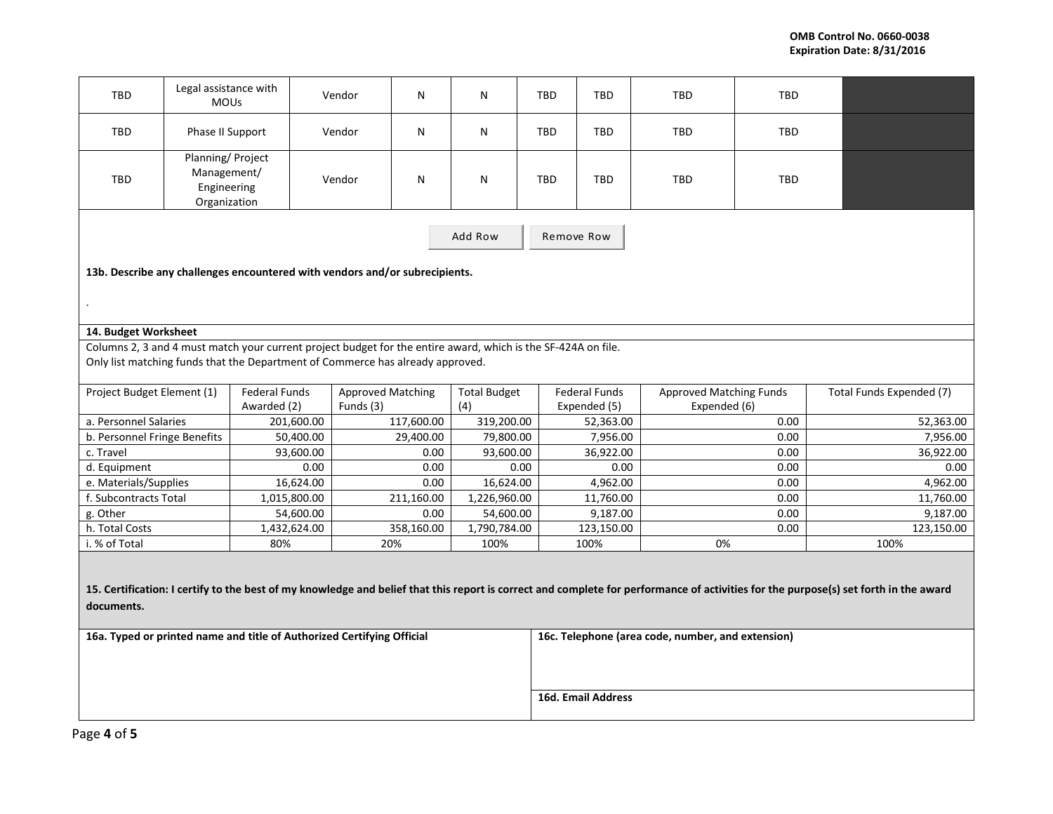| TBD                                                                                                                                                                                                                                                                                                                               | Legal assistance with<br><b>MOUs</b>                           |                                                                                | Vendor                   | N                 | N                      | TBD                | TBD                   | TBD                            | TBD          |                          |
|-----------------------------------------------------------------------------------------------------------------------------------------------------------------------------------------------------------------------------------------------------------------------------------------------------------------------------------|----------------------------------------------------------------|--------------------------------------------------------------------------------|--------------------------|-------------------|------------------------|--------------------|-----------------------|--------------------------------|--------------|--------------------------|
| TBD                                                                                                                                                                                                                                                                                                                               | Phase II Support                                               |                                                                                | Vendor                   | N                 | N                      | TBD                | TBD                   | <b>TBD</b>                     | TBD          |                          |
| TBD                                                                                                                                                                                                                                                                                                                               | Planning/Project<br>Management/<br>Engineering<br>Organization |                                                                                | Vendor                   | N                 | N                      | <b>TBD</b>         | <b>TBD</b>            | <b>TBD</b>                     | TBD          |                          |
| Add Row                                                                                                                                                                                                                                                                                                                           |                                                                |                                                                                |                          |                   |                        |                    | Remove Row            |                                |              |                          |
| 13b. Describe any challenges encountered with vendors and/or subrecipients.                                                                                                                                                                                                                                                       |                                                                |                                                                                |                          |                   |                        |                    |                       |                                |              |                          |
|                                                                                                                                                                                                                                                                                                                                   |                                                                |                                                                                |                          |                   |                        |                    |                       |                                |              |                          |
|                                                                                                                                                                                                                                                                                                                                   |                                                                |                                                                                |                          |                   |                        |                    |                       |                                |              |                          |
| 14. Budget Worksheet                                                                                                                                                                                                                                                                                                              |                                                                |                                                                                |                          |                   |                        |                    |                       |                                |              |                          |
| Columns 2, 3 and 4 must match your current project budget for the entire award, which is the SF-424A on file.                                                                                                                                                                                                                     |                                                                |                                                                                |                          |                   |                        |                    |                       |                                |              |                          |
|                                                                                                                                                                                                                                                                                                                                   |                                                                | Only list matching funds that the Department of Commerce has already approved. |                          |                   |                        |                    |                       |                                |              |                          |
|                                                                                                                                                                                                                                                                                                                                   |                                                                |                                                                                |                          |                   |                        |                    |                       |                                |              |                          |
| Project Budget Element (1)                                                                                                                                                                                                                                                                                                        |                                                                | Federal Funds                                                                  | <b>Approved Matching</b> |                   | <b>Total Budget</b>    |                    | <b>Federal Funds</b>  | <b>Approved Matching Funds</b> |              | Total Funds Expended (7) |
|                                                                                                                                                                                                                                                                                                                                   |                                                                | Awarded (2)                                                                    | Funds (3)                |                   | (4)                    |                    | Expended (5)          | Expended (6)                   |              |                          |
| a. Personnel Salaries                                                                                                                                                                                                                                                                                                             |                                                                | 201,600.00                                                                     |                          | 117,600.00        | 319,200.00             |                    | 52,363.00             |                                | 0.00         | 52,363.00                |
| b. Personnel Fringe Benefits<br>c. Travel                                                                                                                                                                                                                                                                                         |                                                                | 50,400.00<br>93,600.00                                                         |                          | 29,400.00<br>0.00 | 79,800.00<br>93,600.00 |                    | 7,956.00<br>36,922.00 |                                | 0.00<br>0.00 | 7,956.00<br>36,922.00    |
| d. Equipment                                                                                                                                                                                                                                                                                                                      |                                                                | 0.00                                                                           |                          | 0.00              |                        | 0.00               | 0.00                  |                                | 0.00         | 0.00                     |
| e. Materials/Supplies                                                                                                                                                                                                                                                                                                             |                                                                | 16,624.00                                                                      |                          | 0.00              | 16,624.00              |                    | 4,962.00              |                                | 0.00         | 4,962.00                 |
| f. Subcontracts Total                                                                                                                                                                                                                                                                                                             |                                                                | 1,015,800.00                                                                   |                          | 211,160.00        | 1,226,960.00           |                    | 11,760.00             |                                | 0.00         | 11,760.00                |
| g. Other                                                                                                                                                                                                                                                                                                                          |                                                                | 54,600.00                                                                      |                          | 0.00              | 54,600.00              |                    | 9,187.00              |                                | 0.00         | 9,187.00                 |
| h. Total Costs                                                                                                                                                                                                                                                                                                                    |                                                                | 1,432,624.00                                                                   |                          | 358,160.00        | 1,790,784.00           |                    | 123,150.00            |                                | 0.00         | 123,150.00               |
| i. % of Total                                                                                                                                                                                                                                                                                                                     |                                                                | 80%                                                                            | 20%                      |                   | 100%                   |                    | 100%                  | 0%                             |              | 100%                     |
| 15. Certification: I certify to the best of my knowledge and belief that this report is correct and complete for performance of activities for the purpose(s) set forth in the award<br>documents.<br>16a. Typed or printed name and title of Authorized Certifying Official<br>16c. Telephone (area code, number, and extension) |                                                                |                                                                                |                          |                   |                        |                    |                       |                                |              |                          |
|                                                                                                                                                                                                                                                                                                                                   |                                                                |                                                                                |                          |                   |                        |                    |                       |                                |              |                          |
|                                                                                                                                                                                                                                                                                                                                   |                                                                |                                                                                |                          |                   |                        | 16d. Email Address |                       |                                |              |                          |
|                                                                                                                                                                                                                                                                                                                                   |                                                                |                                                                                |                          |                   |                        |                    |                       |                                |              |                          |
| $3000A$ of $E$                                                                                                                                                                                                                                                                                                                    |                                                                |                                                                                |                          |                   |                        |                    |                       |                                |              |                          |